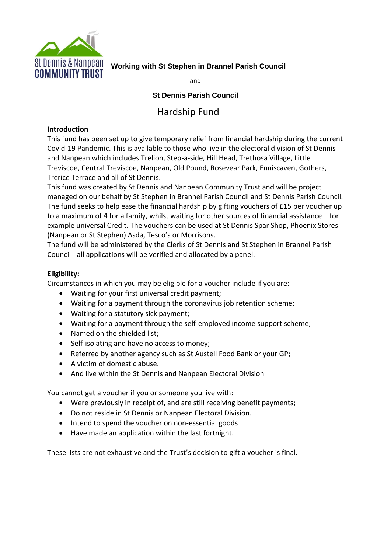

# **St Dennis & Nanpean** working with St Stephen in Brannel Parish Council<br>**COMMINITY TRIIST**

and

### **St Dennis Parish Council**

## Hardship Fund

#### **Introduction**

This fund has been set up to give temporary relief from financial hardship during the current Covid-19 Pandemic. This is available to those who live in the electoral division of St Dennis and Nanpean which includes Trelion, Step-a-side, Hill Head, Trethosa Village, Little Treviscoe, Central Treviscoe, Nanpean, Old Pound, Rosevear Park, Enniscaven, Gothers, Trerice Terrace and all of St Dennis.

This fund was created by St Dennis and Nanpean Community Trust and will be project managed on our behalf by St Stephen in Brannel Parish Council and St Dennis Parish Council. The fund seeks to help ease the financial hardship by gifting vouchers of £15 per voucher up to a maximum of 4 for a family, whilst waiting for other sources of financial assistance – for example universal Credit. The vouchers can be used at St Dennis Spar Shop, Phoenix Stores (Nanpean or St Stephen) Asda, Tesco's or Morrisons.

The fund will be administered by the Clerks of St Dennis and St Stephen in Brannel Parish Council - all applications will be verified and allocated by a panel.

#### **Eligibility:**

Circumstances in which you may be eligible for a voucher include if you are:

- Waiting for your first universal credit payment;
- Waiting for a payment through the coronavirus job retention scheme;
- Waiting for a statutory sick payment;
- Waiting for a payment through the self-employed income support scheme;
- Named on the shielded list:
- Self-isolating and have no access to money;
- Referred by another agency such as St Austell Food Bank or your GP;
- A victim of domestic abuse.
- And live within the St Dennis and Nanpean Electoral Division

You cannot get a voucher if you or someone you live with:

- Were previously in receipt of, and are still receiving benefit payments;
- Do not reside in St Dennis or Nanpean Electoral Division.
- Intend to spend the voucher on non-essential goods
- Have made an application within the last fortnight.

These lists are not exhaustive and the Trust's decision to gift a voucher is final.